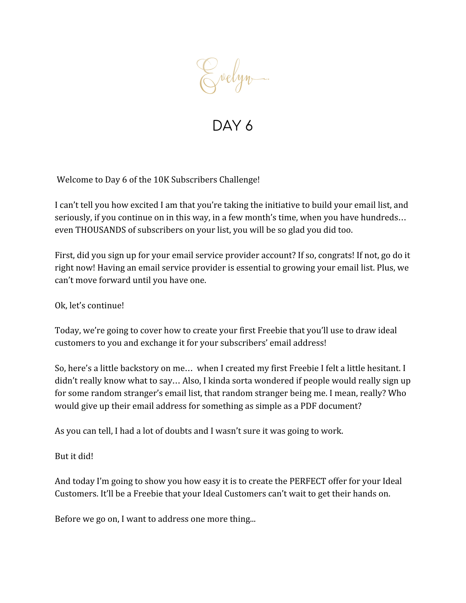Evelyn.

Welcome to Day 6 of the 10K Subscribers Challenge!

I can't tell you how excited I am that you're taking the initiative to build your email list, and seriously, if you continue on in this way, in a few month's time, when you have hundreds… even THOUSANDS of subscribers on your list, you will be so glad you did too.

First, did you sign up for your email service provider account? If so, congrats! If not, go do it right now! Having an email service provider is essential to growing your email list. Plus, we can't move forward until you have one.

Ok, let's continue!

Today, we're going to cover how to create your first Freebie that you'll use to draw ideal customers to you and exchange it for your subscribers' email address!

So, here's a little backstory on me… when I created my first Freebie I felt a little hesitant. I didn't really know what to say… Also, I kinda sorta wondered if people would really sign up for some random stranger's email list, that random stranger being me. I mean, really? Who would give up their email address for something as simple as a PDF document?

As you can tell, I had a lot of doubts and I wasn't sure it was going to work.

But it did!

And today I'm going to show you how easy it is to create the PERFECT offer for your Ideal Customers. It'll be a Freebie that your Ideal Customers can't wait to get their hands on.

Before we go on, I want to address one more thing...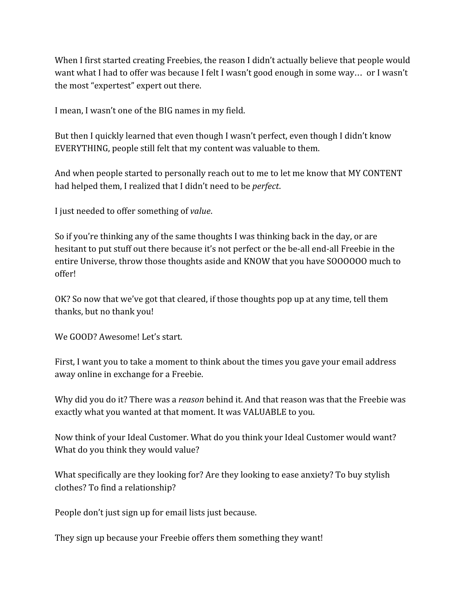When I first started creating Freebies, the reason I didn't actually believe that people would want what I had to offer was because I felt I wasn't good enough in some way… or I wasn't the most "expertest" expert out there.

I mean, I wasn't one of the BIG names in my field.

But then I quickly learned that even though I wasn't perfect, even though I didn't know EVERYTHING, people still felt that my content was valuable to them.

And when people started to personally reach out to me to let me know that MY CONTENT had helped them, I realized that I didn't need to be *perfect*.

I just needed to offer something of *value*.

So if you're thinking any of the same thoughts I was thinking back in the day, or are hesitant to put stuff out there because it's not perfect or the be-all end-all Freebie in the entire Universe, throw those thoughts aside and KNOW that you have SOOOOOO much to offer!

OK? So now that we've got that cleared, if those thoughts pop up at any time, tell them thanks, but no thank you!

We GOOD? Awesome! Let's start.

First, I want you to take a moment to think about the times you gave your email address away online in exchange for a Freebie.

Why did you do it? There was a *reason* behind it. And that reason was that the Freebie was exactly what you wanted at that moment. It was VALUABLE to you.

Now think of your Ideal Customer. What do you think your Ideal Customer would want? What do you think they would value?

What specifically are they looking for? Are they looking to ease anxiety? To buy stylish clothes? To find a relationship?

People don't just sign up for email lists just because.

They sign up because your Freebie offers them something they want!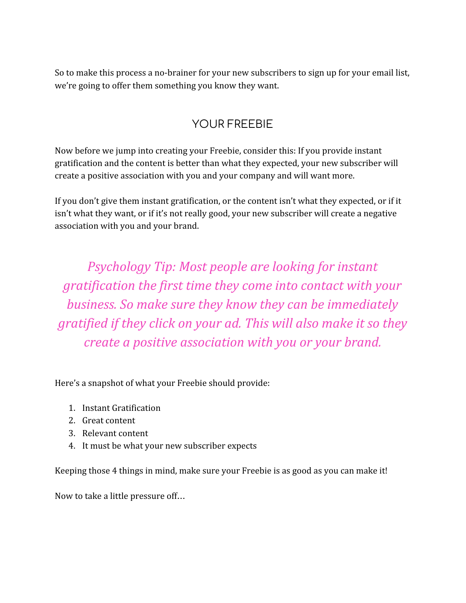So to make this process a no-brainer for your new subscribers to sign up for your email list, we're going to offer them something you know they want.

## YOUR ERFEBIE

Now before we jump into creating your Freebie, consider this: If you provide instant gratification and the content is better than what they expected, your new subscriber will create a positive association with you and your company and will want more.

If you don't give them instant gratification, or the content isn't what they expected, or if it isn't what they want, or if it's not really good, your new subscriber will create a negative association with you and your brand.

*Psychology Tip: Most people are looking for instant gratification the first time they come into contact with your business. So make sure they know they can be immediately gratified if they click on your ad. This will also make it so they create a positive association with you or your brand.*

Here's a snapshot of what your Freebie should provide:

- 1. Instant Gratification
- 2. Great content
- 3. Relevant content
- 4. It must be what your new subscriber expects

Keeping those 4 things in mind, make sure your Freebie is as good as you can make it!

Now to take a little pressure off…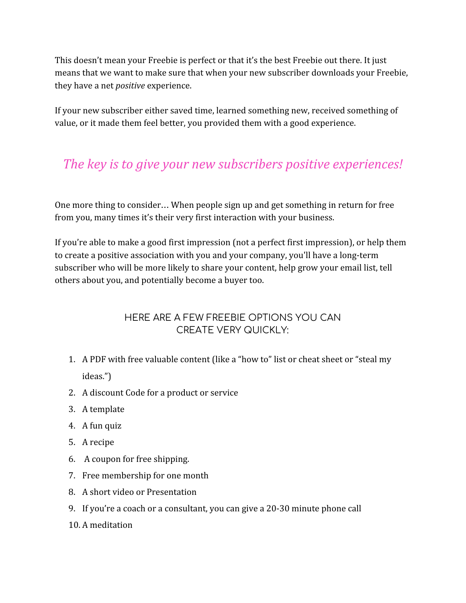This doesn't mean your Freebie is perfect or that it's the best Freebie out there. It just means that we want to make sure that when your new subscriber downloads your Freebie, they have a net *positive* experience.

If your new subscriber either saved time, learned something new, received something of value, or it made them feel better, you provided them with a good experience.

# *The key is to give your new subscribers positive experiences!*

One more thing to consider… When people sign up and get something in return for free from you, many times it's their very first interaction with your business.

If you're able to make a good first impression (not a perfect first impression), or help them to create a positive association with you and your company, you'll have a long-term subscriber who will be more likely to share your content, help grow your email list, tell others about you, and potentially become a buyer too.

### HERE ARE A FEW FREEBIE OPTIONS YOU CAN CREATE VERY QUICKLY:

- 1. A PDF with free valuable content (like a "how to" list or cheat sheet or "steal my ideas.")
- 2. A discount Code for a product or service
- 3. A template
- 4. A fun quiz
- 5. A recipe
- 6. A coupon for free shipping.
- 7. Free membership for one month
- 8. A short video or Presentation
- 9. If you're a coach or a consultant, you can give a 20-30 minute phone call
- 10. A meditation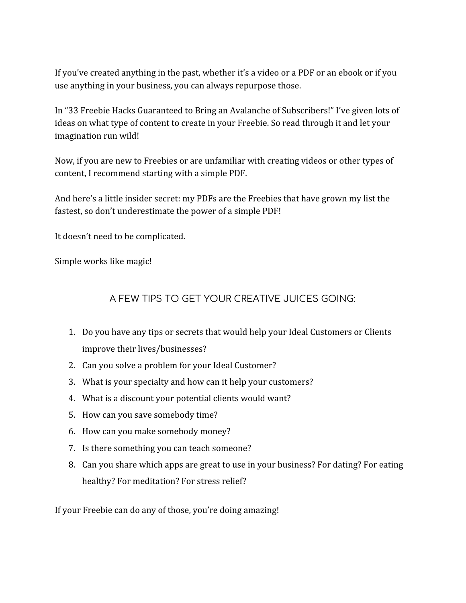If you've created anything in the past, whether it's a video or a PDF or an ebook or if you use anything in your business, you can always repurpose those.

In "33 Freebie Hacks Guaranteed to Bring an Avalanche of Subscribers!" I've given lots of ideas on what type of content to create in your Freebie. So read through it and let your imagination run wild!

Now, if you are new to Freebies or are unfamiliar with creating videos or other types of content, I recommend starting with a simple PDF.

And here's a little insider secret: my PDFs are the Freebies that have grown my list the fastest, so don't underestimate the power of a simple PDF!

It doesn't need to be complicated.

Simple works like magic!

#### A FEW TIPS TO GET YOUR CREATIVE JUICES GOING:

- 1. Do you have any tips or secrets that would help your Ideal Customers or Clients improve their lives/businesses?
- 2. Can you solve a problem for your Ideal Customer?
- 3. What is your specialty and how can it help your customers?
- 4. What is a discount your potential clients would want?
- 5. How can you save somebody time?
- 6. How can you make somebody money?
- 7. Is there something you can teach someone?
- 8. Can you share which apps are great to use in your business? For dating? For eating healthy? For meditation? For stress relief?

If your Freebie can do any of those, you're doing amazing!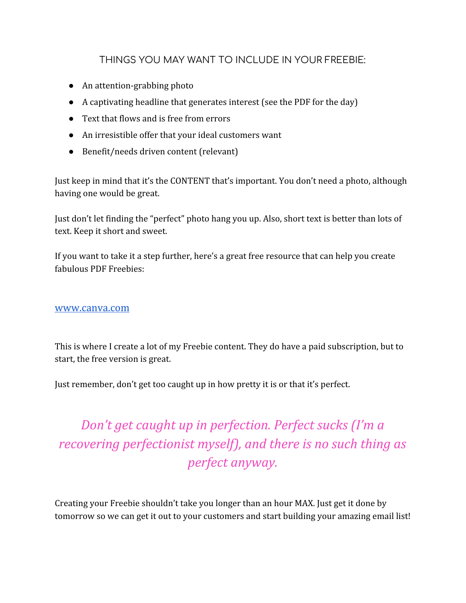#### THINGS YOU MAY WANT TO INCLUDE IN YOUR FREEBIE:

- An attention-grabbing photo
- A captivating headline that generates interest (see the PDF for the day)
- Text that flows and is free from errors
- An irresistible offer that your ideal customers want
- Benefit/needs driven content (relevant)

Just keep in mind that it's the CONTENT that's important. You don't need a photo, although having one would be great.

Just don't let finding the "perfect" photo hang you up. Also, short text is better than lots of text. Keep it short and sweet.

If you want to take it a step further, here's a great free resource that can help you create fabulous PDF Freebies:

#### [www.canva.com](http://www.canva.com/)

This is where I create a lot of my Freebie content. They do have a paid subscription, but to start, the free version is great.

Just remember, don't get too caught up in how pretty it is or that it's perfect.

*Don't get caught up in perfection. Perfect sucks (I'm a recovering perfectionist myself), and there is no such thing as perfect anyway.*

Creating your Freebie shouldn't take you longer than an hour MAX. Just get it done by tomorrow so we can get it out to your customers and start building your amazing email list!